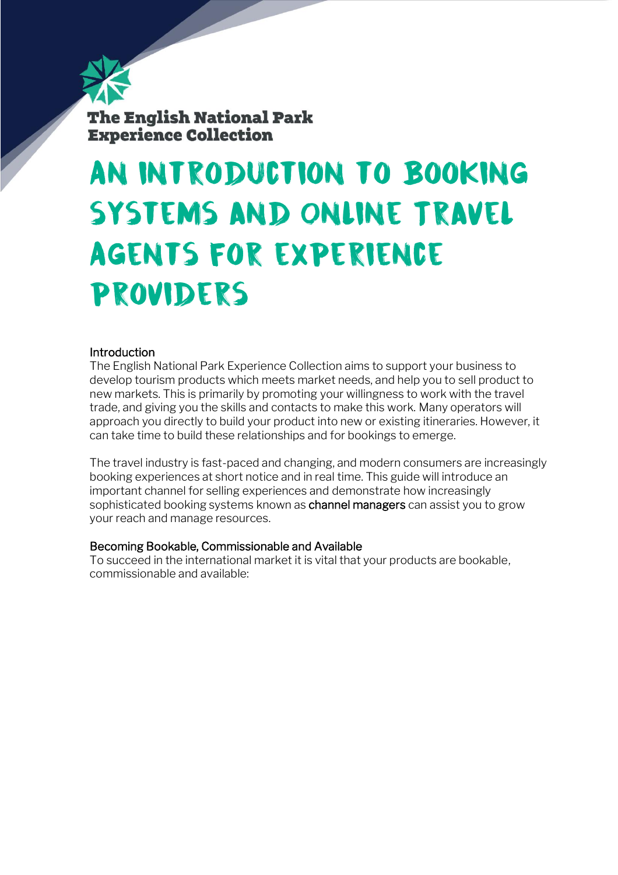

**The English National Park Experience Collection** 

# An introduction to Booking systems and Online Travel Agents for experience providers

## **Introduction**

The English National Park Experience Collection aims to support your business to develop tourism products which meets market needs, and help you to sell product to new markets. This is primarily by promoting your willingness to work with the travel trade, and giving you the skills and contacts to make this work. Many operators will approach you directly to build your product into new or existing itineraries. However, it can take time to build these relationships and for bookings to emerge.

The travel industry is fast-paced and changing, and modern consumers are increasingly booking experiences at short notice and in real time. This guide will introduce an important channel for selling experiences and demonstrate how increasingly sophisticated booking systems known as channel managers can assist you to grow your reach and manage resources.

## Becoming Bookable, Commissionable and Available

To succeed in the international market it is vital that your products are bookable, commissionable and available: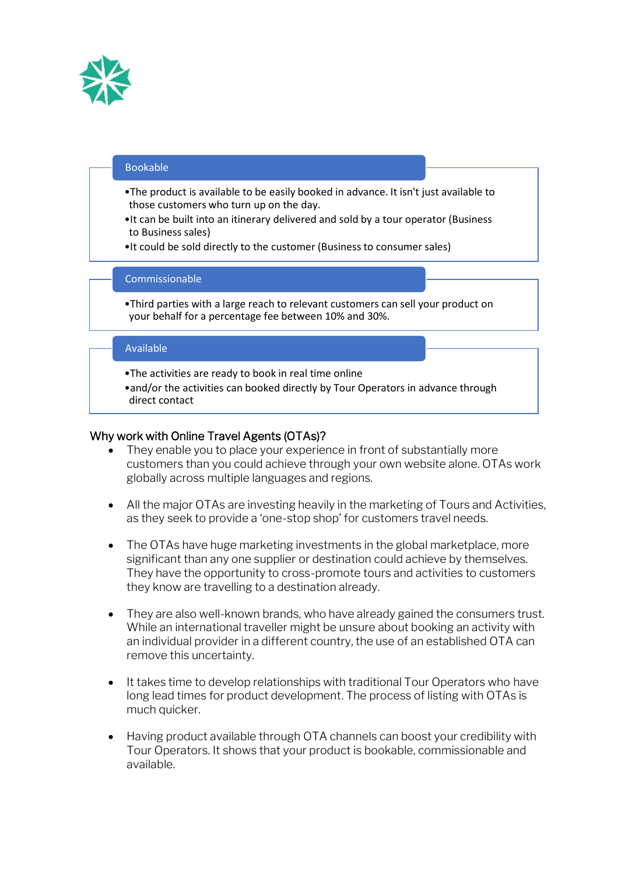

#### Bookable

- •The product is available to be easily booked in advance. It isn't just available to those customers who turn up on the day.
- •It can be built into an itinerary delivered and sold by a tour operator (Business to Business sales)
- •It could be sold directly to the customer (Business to consumer sales)

#### **Commissionable**

•Third parties with a large reach to relevant customers can sell your product on your behalf for a percentage fee between 10% and 30%.

#### Available

- •The activities are ready to book in real time online
- •and/or the activities can booked directly by Tour Operators in advance through direct contact

#### Why work with Online Travel Agents (OTAs)?

- They enable you to place your experience in front of substantially more customers than you could achieve through your own website alone. OTAs work globally across multiple languages and regions.
- All the major OTAs are investing heavily in the marketing of Tours and Activities, as they seek to provide a 'one-stop shop' for customers travel needs.
- The OTAs have huge marketing investments in the global marketplace, more significant than any one supplier or destination could achieve by themselves. They have the opportunity to cross-promote tours and activities to customers they know are travelling to a destination already.
- They are also well-known brands, who have already gained the consumers trust. While an international traveller might be unsure about booking an activity with an individual provider in a different country, the use of an established OTA can remove this uncertainty.
- It takes time to develop relationships with traditional Tour Operators who have long lead times for product development. The process of listing with OTAs is much quicker.
- Having product available through OTA channels can boost your credibility with Tour Operators. It shows that your product is bookable, commissionable and available.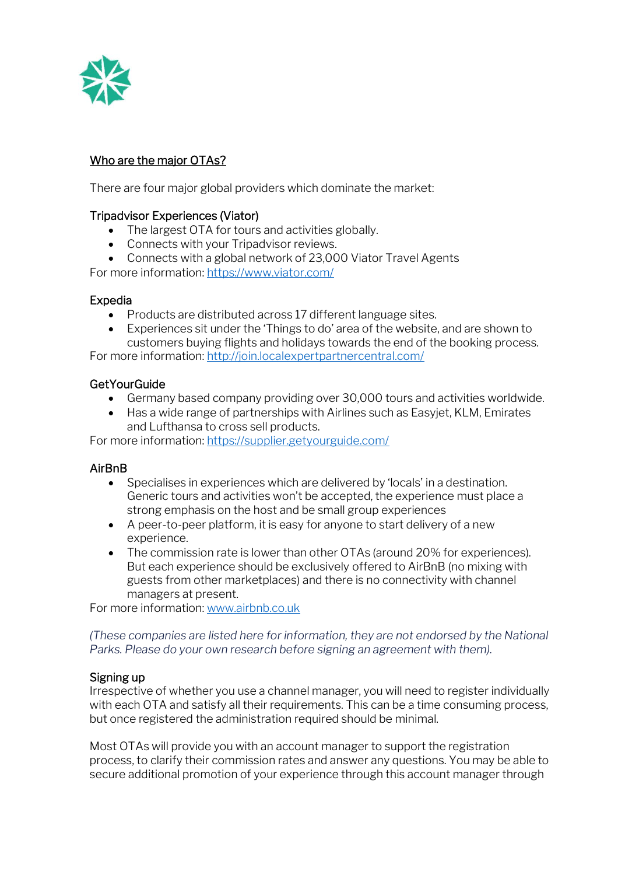

# Who are the major OTAs?

There are four major global providers which dominate the market:

## Tripadvisor Experiences (Viator)

- The largest OTA for tours and activities globally.
- Connects with your Tripadvisor reviews.
- Connects with a global network of 23,000 Viator Travel Agents

For more information:<https://www.viator.com/>

#### Expedia

- Products are distributed across 17 different language sites.
- Experiences sit under the 'Things to do' area of the website, and are shown to customers buying flights and holidays towards the end of the booking process.

For more information:<http://join.localexpertpartnercentral.com/>

#### **GetYourGuide**

- Germany based company providing over 30,000 tours and activities worldwide.
- Has a wide range of partnerships with Airlines such as Easyjet, KLM, Emirates and Lufthansa to cross sell products.

For more information:<https://supplier.getyourguide.com/>

## AirBnB

- Specialises in experiences which are delivered by 'locals' in a destination. Generic tours and activities won't be accepted, the experience must place a strong emphasis on the host and be small group experiences
- A peer-to-peer platform, it is easy for anyone to start delivery of a new experience.
- The commission rate is lower than other OTAs (around 20% for experiences). But each experience should be exclusively offered to AirBnB (no mixing with guests from other marketplaces) and there is no connectivity with channel managers at present.

For more information: [www.airbnb.co.uk](http://www.airbnb.co.uk/)

*(These companies are listed here for information, they are not endorsed by the National Parks. Please do your own research before signing an agreement with them).*

#### Signing up

Irrespective of whether you use a channel manager, you will need to register individually with each OTA and satisfy all their requirements. This can be a time consuming process, but once registered the administration required should be minimal.

Most OTAs will provide you with an account manager to support the registration process, to clarify their commission rates and answer any questions. You may be able to secure additional promotion of your experience through this account manager through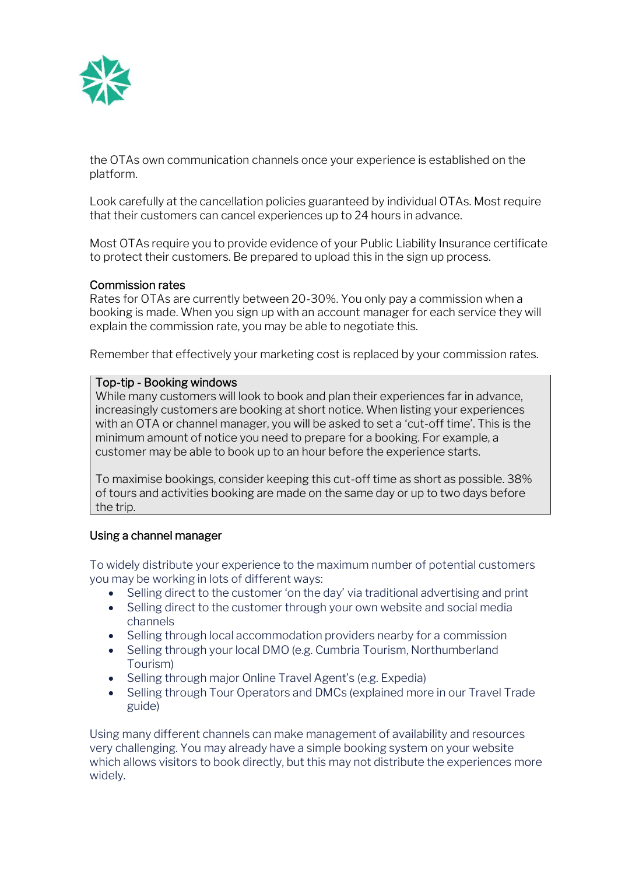

the OTAs own communication channels once your experience is established on the platform.

Look carefully at the cancellation policies guaranteed by individual OTAs. Most require that their customers can cancel experiences up to 24 hours in advance.

Most OTAs require you to provide evidence of your Public Liability Insurance certificate to protect their customers. Be prepared to upload this in the sign up process.

#### Commission rates

Rates for OTAs are currently between 20-30%. You only pay a commission when a booking is made. When you sign up with an account manager for each service they will explain the commission rate, you may be able to negotiate this.

Remember that effectively your marketing cost is replaced by your commission rates.

#### Top-tip - Booking windows

While many customers will look to book and plan their experiences far in advance, increasingly customers are booking at short notice. When listing your experiences with an OTA or channel manager, you will be asked to set a 'cut-off time'. This is the minimum amount of notice you need to prepare for a booking. For example, a customer may be able to book up to an hour before the experience starts.

To maximise bookings, consider keeping this cut-off time as short as possible. 38% of tours and activities booking are made on the same day or up to two days before the trip.

#### Using a channel manager

To widely distribute your experience to the maximum number of potential customers you may be working in lots of different ways:

- Selling direct to the customer 'on the day' via traditional advertising and print
- Selling direct to the customer through your own website and social media channels
- Selling through local accommodation providers nearby for a commission
- Selling through your local DMO (e.g. Cumbria Tourism, Northumberland Tourism)
- Selling through major Online Travel Agent's (e.g. Expedia)
- Selling through Tour Operators and DMCs (explained more in our Travel Trade guide)

Using many different channels can make management of availability and resources very challenging. You may already have a simple booking system on your website which allows visitors to book directly, but this may not distribute the experiences more widely.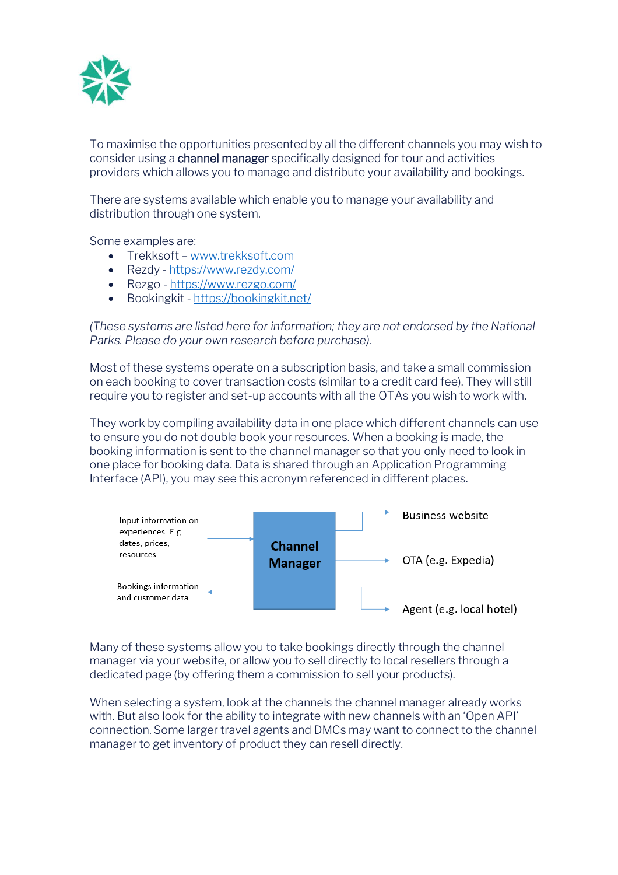

To maximise the opportunities presented by all the different channels you may wish to consider using a channel manager specifically designed for tour and activities providers which allows you to manage and distribute your availability and bookings.

There are systems available which enable you to manage your availability and distribution through one system.

Some examples are:

- Trekksoft [www.trekksoft.com](http://www.trekksoft.com/)
- Rezdy <https://www.rezdy.com/>
- Rezgo <https://www.rezgo.com/>
- Bookingkit <https://bookingkit.net/>

*(These systems are listed here for information; they are not endorsed by the National Parks. Please do your own research before purchase).*

Most of these systems operate on a subscription basis, and take a small commission on each booking to cover transaction costs (similar to a credit card fee). They will still require you to register and set-up accounts with all the OTAs you wish to work with.

They work by compiling availability data in one place which different channels can use to ensure you do not double book your resources. When a booking is made, the booking information is sent to the channel manager so that you only need to look in one place for booking data. Data is shared through an Application Programming Interface (API), you may see this acronym referenced in different places.



Many of these systems allow you to take bookings directly through the channel manager via your website, or allow you to sell directly to local resellers through a dedicated page (by offering them a commission to sell your products).

When selecting a system, look at the channels the channel manager already works with. But also look for the ability to integrate with new channels with an 'Open API' connection. Some larger travel agents and DMCs may want to connect to the channel manager to get inventory of product they can resell directly.